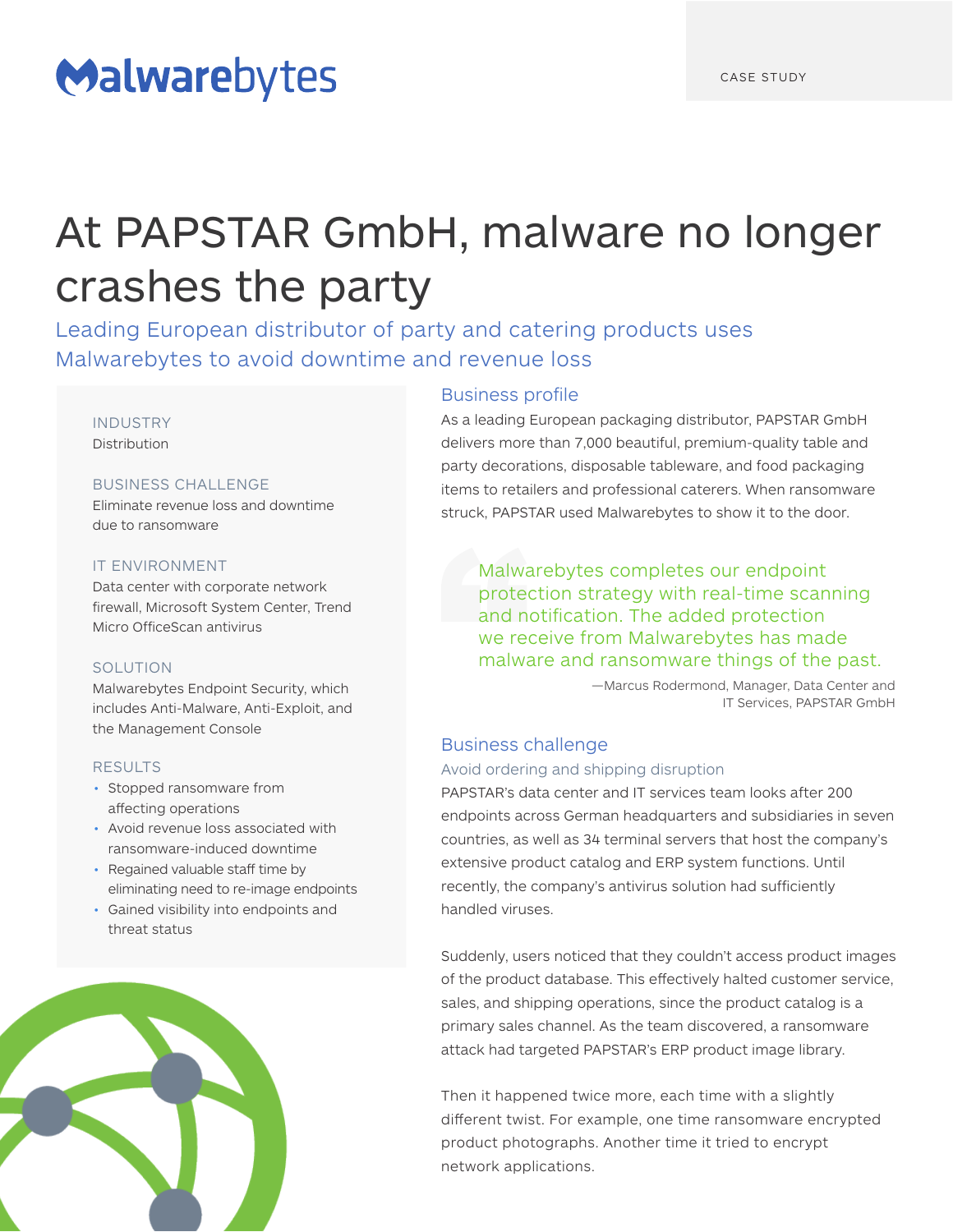# Malwarebytes

# At PAPSTAR GmbH, malware no longer crashes the party

Leading European distributor of party and catering products uses Malwarebytes to avoid downtime and revenue loss

#### INDUSTRY Distribution

### BUSINESS CHALLENGE

Eliminate revenue loss and downtime due to ransomware

#### IT ENVIRONMENT

Data center with corporate network firewall, Microsoft System Center, Trend Micro OfficeScan antivirus

### **SOLUTION**

Malwarebytes Endpoint Security, which includes Anti-Malware, Anti-Exploit, and the Management Console

### RESULTS

- Stopped ransomware from affecting operations
- Avoid revenue loss associated with ransomware-induced downtime
- Regained valuable staff time by eliminating need to re-image endpoints
- Gained visibility into endpoints and threat status



## Business profile

As a leading European packaging distributor, PAPSTAR GmbH delivers more than 7,000 beautiful, premium-quality table and party decorations, disposable tableware, and food packaging items to retailers and professional caterers. When ransomware struck, PAPSTAR used Malwarebytes to show it to the door.

Malwarebytes completes our endpoint protection strategy with real-time scanning and notification. The added protection we receive from Malwarebytes has made malware and ransomware things of the past.

> —Marcus Rodermond, Manager, Data Center and IT Services, PAPSTAR GmbH

## Business challenge

Avoid ordering and shipping disruption

PAPSTAR's data center and IT services team looks after 200 endpoints across German headquarters and subsidiaries in seven countries, as well as 34 terminal servers that host the company's extensive product catalog and ERP system functions. Until recently, the company's antivirus solution had sufficiently handled viruses.

Suddenly, users noticed that they couldn't access product images of the product database. This effectively halted customer service, sales, and shipping operations, since the product catalog is a primary sales channel. As the team discovered, a ransomware attack had targeted PAPSTAR's ERP product image library.

Then it happened twice more, each time with a slightly different twist. For example, one time ransomware encrypted product photographs. Another time it tried to encrypt network applications.